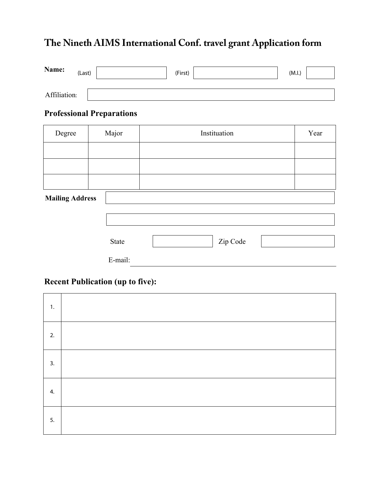# **The Nineth AIMS International Conf. travel grant Application form**

| Name:        | (Last) | (First) | (M.I.) |  |
|--------------|--------|---------|--------|--|
| Affiliation: |        |         |        |  |

### **Professional Preparations**

| Degree                 | Major | Instituation | Year |  |
|------------------------|-------|--------------|------|--|
|                        |       |              |      |  |
|                        |       |              |      |  |
|                        |       |              |      |  |
| <b>Mailing Address</b> |       |              |      |  |

#### **Mailing Address**

| State   | Zip Code |  |
|---------|----------|--|
| E-mail: |          |  |

#### **Recent Publication (up to five):**

| 1. |  |
|----|--|
| 2. |  |
| 3. |  |
| 4. |  |
| 5. |  |